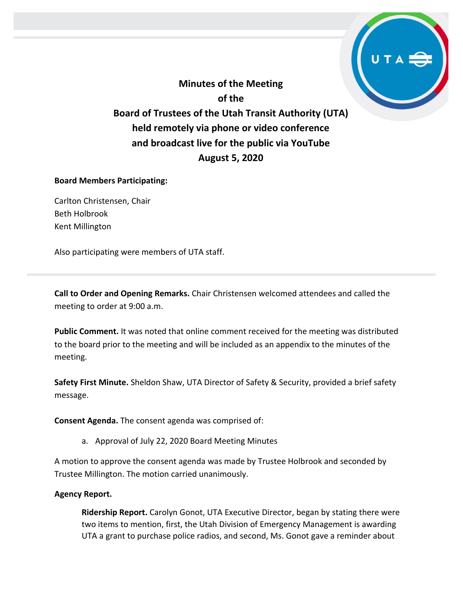**Minutes of the Meeting of the Board of Trustees of the Utah Transit Authority (UTA) held remotely via phone or video conference and broadcast live for the public via YouTube August 5, 2020**

### **Board Members Participating:**

Carlton Christensen, Chair Beth Holbrook Kent Millington

Also participating were members of UTA staff.

**Call to Order and Opening Remarks.** Chair Christensen welcomed attendees and called the meeting to order at 9:00 a.m.

**Public Comment.** It was noted that online comment received for the meeting was distributed to the board prior to the meeting and will be included as an appendix to the minutes of the meeting.

**Safety First Minute.** Sheldon Shaw, UTA Director of Safety & Security, provided a brief safety message.

**Consent Agenda.** The consent agenda was comprised of:

a. Approval of July 22, 2020 Board Meeting Minutes

A motion to approve the consent agenda was made by Trustee Holbrook and seconded by Trustee Millington. The motion carried unanimously.

### **Agency Report.**

**Ridership Report.** Carolyn Gonot, UTA Executive Director, began by stating there were two items to mention, first, the Utah Division of Emergency Management is awarding UTA a grant to purchase police radios, and second, Ms. Gonot gave a reminder about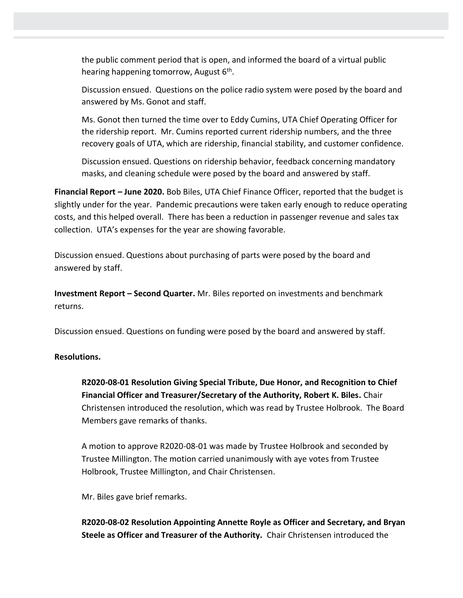the public comment period that is open, and informed the board of a virtual public hearing happening tomorrow, August 6<sup>th</sup>.

Discussion ensued. Questions on the police radio system were posed by the board and answered by Ms. Gonot and staff.

Ms. Gonot then turned the time over to Eddy Cumins, UTA Chief Operating Officer for the ridership report. Mr. Cumins reported current ridership numbers, and the three recovery goals of UTA, which are ridership, financial stability, and customer confidence.

Discussion ensued. Questions on ridership behavior, feedback concerning mandatory masks, and cleaning schedule were posed by the board and answered by staff.

**Financial Report – June 2020.** Bob Biles, UTA Chief Finance Officer, reported that the budget is slightly under for the year. Pandemic precautions were taken early enough to reduce operating costs, and this helped overall. There has been a reduction in passenger revenue and sales tax collection. UTA's expenses for the year are showing favorable.

Discussion ensued. Questions about purchasing of parts were posed by the board and answered by staff.

**Investment Report – Second Quarter.** Mr. Biles reported on investments and benchmark returns.

Discussion ensued. Questions on funding were posed by the board and answered by staff.

### **Resolutions.**

**R2020-08-01 Resolution Giving Special Tribute, Due Honor, and Recognition to Chief Financial Officer and Treasurer/Secretary of the Authority, Robert K. Biles.** Chair Christensen introduced the resolution, which was read by Trustee Holbrook. The Board Members gave remarks of thanks.

A motion to approve R2020-08-01 was made by Trustee Holbrook and seconded by Trustee Millington. The motion carried unanimously with aye votes from Trustee Holbrook, Trustee Millington, and Chair Christensen.

Mr. Biles gave brief remarks.

**R2020-08-02 Resolution Appointing Annette Royle as Officer and Secretary, and Bryan Steele as Officer and Treasurer of the Authority.** Chair Christensen introduced the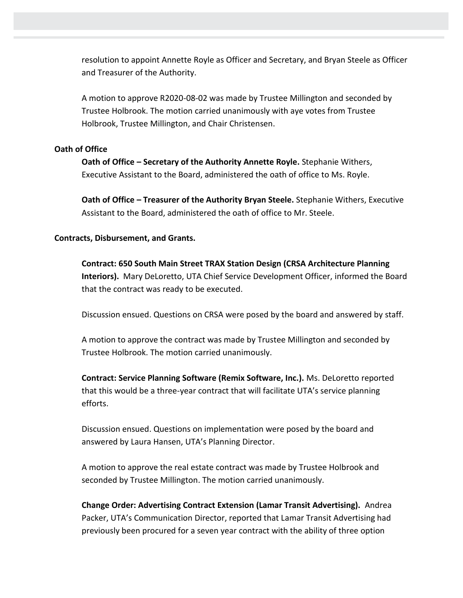resolution to appoint Annette Royle as Officer and Secretary, and Bryan Steele as Officer and Treasurer of the Authority.

A motion to approve R2020-08-02 was made by Trustee Millington and seconded by Trustee Holbrook. The motion carried unanimously with aye votes from Trustee Holbrook, Trustee Millington, and Chair Christensen.

### **Oath of Office**

**Oath of Office – Secretary of the Authority Annette Royle.** Stephanie Withers, Executive Assistant to the Board, administered the oath of office to Ms. Royle.

**Oath of Office – Treasurer of the Authority Bryan Steele.** Stephanie Withers, Executive Assistant to the Board, administered the oath of office to Mr. Steele.

### **Contracts, Disbursement, and Grants.**

**Contract: 650 South Main Street TRAX Station Design (CRSA Architecture Planning Interiors).** Mary DeLoretto, UTA Chief Service Development Officer, informed the Board that the contract was ready to be executed.

Discussion ensued. Questions on CRSA were posed by the board and answered by staff.

A motion to approve the contract was made by Trustee Millington and seconded by Trustee Holbrook. The motion carried unanimously.

**Contract: Service Planning Software (Remix Software, Inc.).** Ms. DeLoretto reported that this would be a three-year contract that will facilitate UTA's service planning efforts.

Discussion ensued. Questions on implementation were posed by the board and answered by Laura Hansen, UTA's Planning Director.

A motion to approve the real estate contract was made by Trustee Holbrook and seconded by Trustee Millington. The motion carried unanimously.

**Change Order: Advertising Contract Extension (Lamar Transit Advertising).** Andrea Packer, UTA's Communication Director, reported that Lamar Transit Advertising had previously been procured for a seven year contract with the ability of three option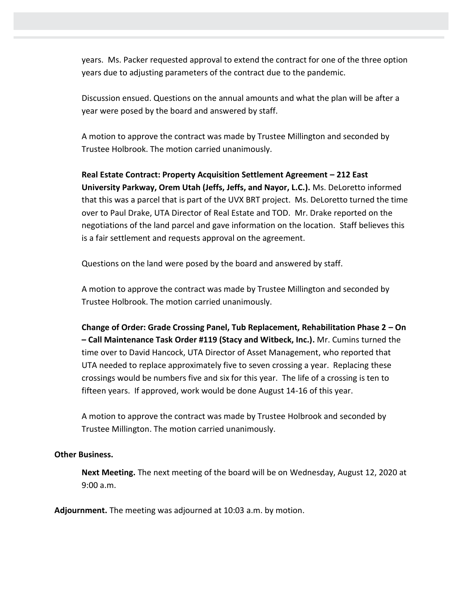years. Ms. Packer requested approval to extend the contract for one of the three option years due to adjusting parameters of the contract due to the pandemic.

Discussion ensued. Questions on the annual amounts and what the plan will be after a year were posed by the board and answered by staff.

A motion to approve the contract was made by Trustee Millington and seconded by Trustee Holbrook. The motion carried unanimously.

**Real Estate Contract: Property Acquisition Settlement Agreement – 212 East University Parkway, Orem Utah (Jeffs, Jeffs, and Nayor, L.C.).** Ms. DeLoretto informed that this was a parcel that is part of the UVX BRT project. Ms. DeLoretto turned the time over to Paul Drake, UTA Director of Real Estate and TOD. Mr. Drake reported on the negotiations of the land parcel and gave information on the location. Staff believes this is a fair settlement and requests approval on the agreement.

Questions on the land were posed by the board and answered by staff.

A motion to approve the contract was made by Trustee Millington and seconded by Trustee Holbrook. The motion carried unanimously.

**Change of Order: Grade Crossing Panel, Tub Replacement, Rehabilitation Phase 2 – On – Call Maintenance Task Order #119 (Stacy and Witbeck, Inc.).** Mr. Cumins turned the time over to David Hancock, UTA Director of Asset Management, who reported that UTA needed to replace approximately five to seven crossing a year. Replacing these crossings would be numbers five and six for this year. The life of a crossing is ten to fifteen years. If approved, work would be done August 14-16 of this year.

A motion to approve the contract was made by Trustee Holbrook and seconded by Trustee Millington. The motion carried unanimously.

### **Other Business.**

**Next Meeting.** The next meeting of the board will be on Wednesday, August 12, 2020 at 9:00 a.m.

**Adjournment.** The meeting was adjourned at 10:03 a.m. by motion.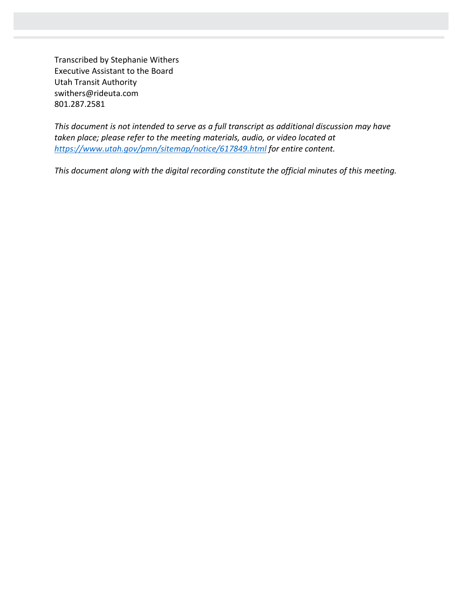Transcribed by Stephanie Withers Executive Assistant to the Board Utah Transit Authority swithers@rideuta.com 801.287.2581

*This document is not intended to serve as a full transcript as additional discussion may have taken place; please refer to the meeting materials, audio, or video located at <https://www.utah.gov/pmn/sitemap/notice/617849.html> for entire content.*

*This document along with the digital recording constitute the official minutes of this meeting.*